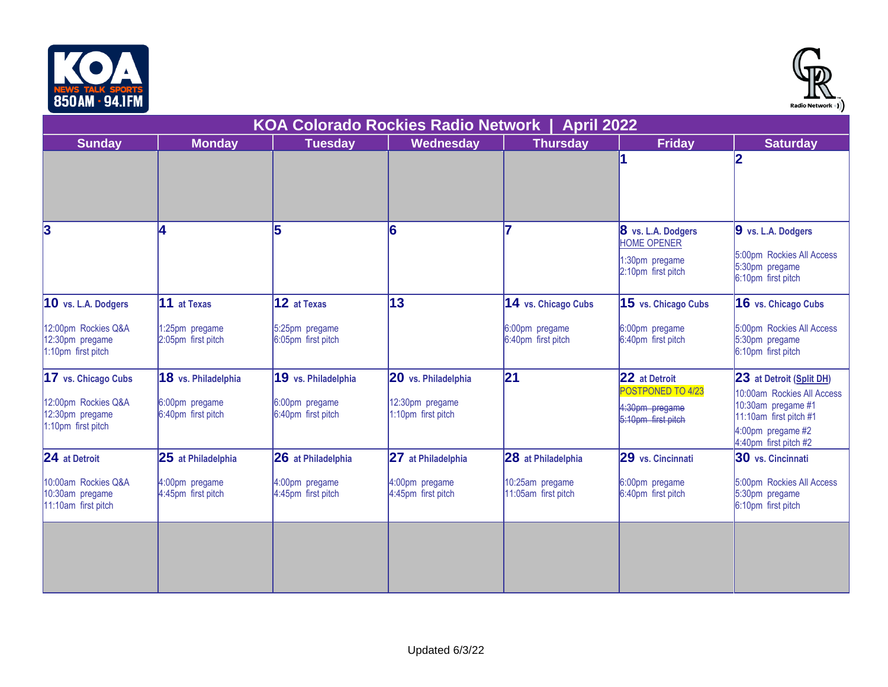



| ווו והדט ווחשטט                                                |                                      |                                      |                                       |                                        |                                                                                  | Radio Network =) )                                                                                                       |  |  |
|----------------------------------------------------------------|--------------------------------------|--------------------------------------|---------------------------------------|----------------------------------------|----------------------------------------------------------------------------------|--------------------------------------------------------------------------------------------------------------------------|--|--|
| <b>KOA Colorado Rockies Radio Network</b><br><b>April 2022</b> |                                      |                                      |                                       |                                        |                                                                                  |                                                                                                                          |  |  |
| <b>Sunday</b>                                                  | <b>Monday</b>                        | <b>Tuesday</b>                       | <b>Wednesday</b>                      | <b>Thursday</b>                        | <b>Friday</b>                                                                    | <b>Saturday</b>                                                                                                          |  |  |
|                                                                |                                      |                                      |                                       |                                        |                                                                                  | 12                                                                                                                       |  |  |
| 3                                                              | 4                                    |                                      | 16                                    |                                        | 8 vs. L.A. Dodgers<br><b>HOME OPENER</b><br>1:30pm pregame<br>2:10pm first pitch | 9 vs. L.A. Dodgers<br>5:00pm Rockies All Access<br>5:30pm pregame<br>6:10pm first pitch                                  |  |  |
| 10 vs. L.A. Dodgers                                            | 11 at Texas                          | 12 at Texas                          | 13                                    | 14 vs. Chicago Cubs                    | 15 vs. Chicago Cubs                                                              | 16 vs. Chicago Cubs                                                                                                      |  |  |
| 12:00pm Rockies Q&A<br>12:30pm pregame<br>1:10pm first pitch   | 1:25pm pregame<br>2:05pm first pitch | 5:25pm pregame<br>6:05pm first pitch |                                       | 6:00pm pregame<br>6:40pm first pitch   | 6:00pm pregame<br>6:40pm first pitch                                             | 5:00pm Rockies All Access<br>5:30pm pregame<br>6:10pm first pitch                                                        |  |  |
| 17 vs. Chicago Cubs                                            | 18 vs. Philadelphia                  | 19 vs. Philadelphia                  | 20 vs. Philadelphia                   | 21                                     | 22 at Detroit<br>POSTPONED TO 4/23                                               | 23 at Detroit (Split DH)                                                                                                 |  |  |
| 12:00pm Rockies Q&A<br>12:30pm pregame<br>1:10pm first pitch   | 6:00pm pregame<br>6:40pm first pitch | 6:00pm pregame<br>6:40pm first pitch | 12:30pm pregame<br>1:10pm first pitch |                                        | 4:30pm pregame<br>5:10pm first pitch                                             | 10:00am Rockies All Access<br>10:30am pregame #1<br>11:10am first pitch #1<br>4:00pm pregame #2<br>4:40pm first pitch #2 |  |  |
| 24 at Detroit                                                  | 25 at Philadelphia                   | 26 at Philadelphia                   | 27 at Philadelphia                    | 28 at Philadelphia                     | 29 vs. Cincinnati                                                                | 30 vs. Cincinnati                                                                                                        |  |  |
| 10:00am Rockies Q&A<br>10:30am pregame<br>11:10am first pitch  | 4:00pm pregame<br>4:45pm first pitch | 4:00pm pregame<br>4:45pm first pitch | 4:00pm pregame<br>4:45pm first pitch  | 10:25am pregame<br>11:05am first pitch | 6:00pm pregame<br>6:40pm first pitch                                             | 5:00pm Rockies All Access<br>5:30pm pregame<br>6:10pm first pitch                                                        |  |  |
|                                                                |                                      |                                      |                                       |                                        |                                                                                  |                                                                                                                          |  |  |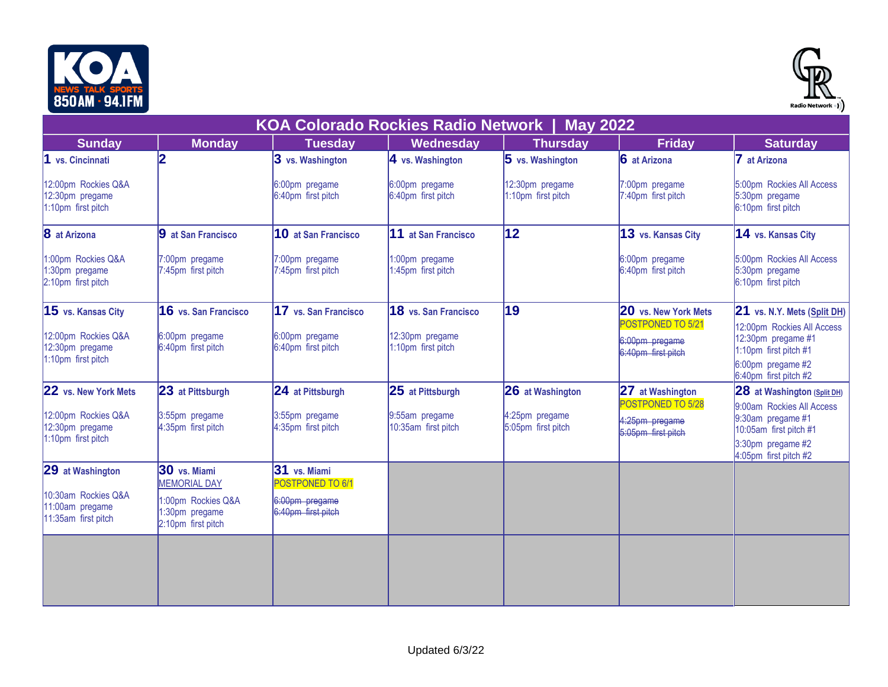



| וזו והדט וווח טטט                                             |                                                            |                                      |                                           |                                       |                                                           | Radio Network •) )                                                                                                      |
|---------------------------------------------------------------|------------------------------------------------------------|--------------------------------------|-------------------------------------------|---------------------------------------|-----------------------------------------------------------|-------------------------------------------------------------------------------------------------------------------------|
|                                                               |                                                            |                                      | <b>KOA Colorado Rockies Radio Network</b> | <b>May 2022</b>                       |                                                           |                                                                                                                         |
| <b>Sunday</b>                                                 | <b>Monday</b>                                              | <b>Tuesday</b>                       | Wednesday                                 | <b>Thursday</b>                       | <b>Friday</b>                                             | <b>Saturday</b>                                                                                                         |
| 1 vs. Cincinnati                                              | 12                                                         | 3 vs. Washington                     | $4$ vs. Washington                        | $5$ vs. Washington                    | 6 at Arizona                                              | at Arizona                                                                                                              |
| 12:00pm Rockies Q&A<br>12:30pm pregame<br>1:10pm first pitch  |                                                            | 6:00pm pregame<br>6:40pm first pitch | 6:00pm pregame<br>6:40pm first pitch      | 12:30pm pregame<br>1:10pm first pitch | 7:00pm pregame<br>7:40pm first pitch                      | 5:00pm Rockies All Access<br>5:30pm pregame<br>6:10pm first pitch                                                       |
| 8 at Arizona                                                  | 9 at San Francisco                                         | 10 at San Francisco                  | 11 at San Francisco                       | 12                                    | 13 vs. Kansas City                                        | 14 vs. Kansas City                                                                                                      |
| 1:00pm Rockies Q&A<br>1:30pm pregame<br>2:10pm first pitch    | 7:00pm pregame<br>7:45pm first pitch                       | 7:00pm pregame<br>7:45pm first pitch | 1:00pm pregame<br>1:45pm first pitch      |                                       | 6:00pm pregame<br>6:40pm first pitch                      | 5:00pm Rockies All Access<br>5:30pm pregame<br>6:10pm first pitch                                                       |
| 15 vs. Kansas City                                            | 16 vs. San Francisco                                       | 17 vs. San Francisco                 | 18 vs. San Francisco                      | 19                                    | <b>20</b> vs. New York Mets                               | 21 vs. N.Y. Mets (Split DH)                                                                                             |
| 12:00pm Rockies Q&A<br>12:30pm pregame<br>1:10pm first pitch  | 6:00pm pregame<br>6:40pm first pitch                       | 6:00pm pregame<br>6:40pm first pitch | 12:30pm pregame<br>1:10pm first pitch     |                                       | POSTPONED TO 5/21<br>6:00pm pregame<br>6:40pm first pitch | 12:00pm Rockies All Access<br>12:30pm pregame #1<br>1:10pm first pitch #1<br>6:00pm pregame #2<br>6:40pm first pitch #2 |
| 22 vs. New York Mets                                          | 23 at Pittsburgh                                           | 24 at Pittsburgh                     | 25 at Pittsburgh                          | 26 at Washington                      | 27 at Washington<br>POSTPONED TO 5/28                     | 28 at Washington (Split DH)                                                                                             |
| 12:00pm Rockies Q&A<br>12:30pm pregame<br>1:10pm first pitch  | 3:55pm pregame<br>4:35pm first pitch                       | 3:55pm pregame<br>4:35pm first pitch | 9:55am pregame<br>10:35am first pitch     | 4:25pm pregame<br>5:05pm first pitch  | 4:25pm pregame<br>5:05pm first pitch                      | 9:00am Rockies All Access<br>9:30am pregame #1<br>10:05am first pitch #1<br>3:30pm pregame #2<br>4:05pm first pitch #2  |
| 29 at Washington                                              | 30 vs. Miami<br><b>MEMORIAL DAY</b>                        | 31 vs. Miami<br>POSTPONED TO 6/1     |                                           |                                       |                                                           |                                                                                                                         |
| 10:30am Rockies Q&A<br>11:00am pregame<br>11:35am first pitch | 1:00pm Rockies Q&A<br>1:30pm pregame<br>2:10pm first pitch | 6:00pm pregame<br>6:40pm first pitch |                                           |                                       |                                                           |                                                                                                                         |
|                                                               |                                                            |                                      |                                           |                                       |                                                           |                                                                                                                         |
|                                                               |                                                            |                                      |                                           |                                       |                                                           |                                                                                                                         |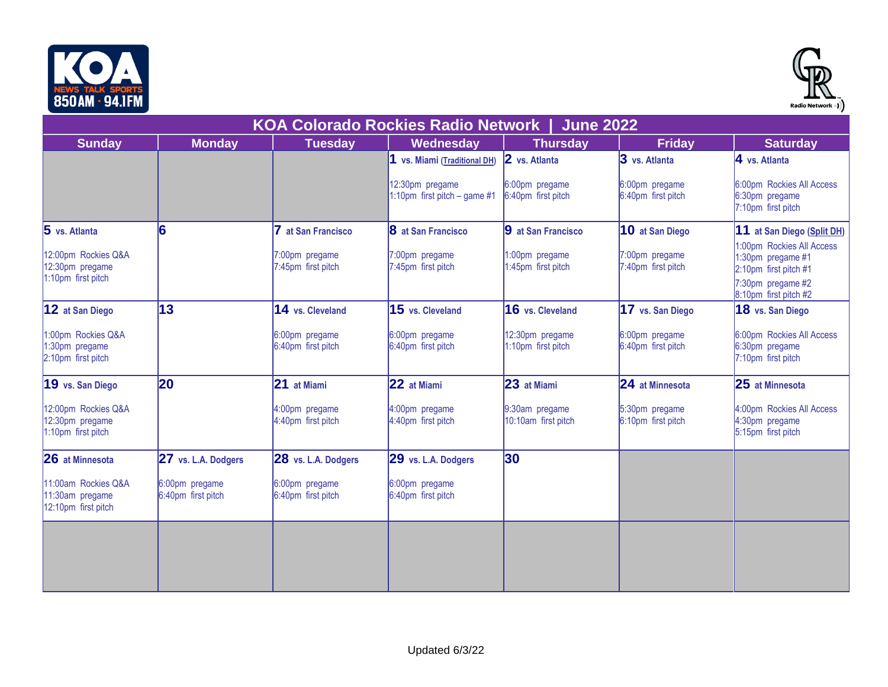



| וזו והדע והתשטט                                               |                                      |                                      | <b>KOA Colorado Rockies Radio Network</b>       | <b>June 2022</b>                      |                                      | Radio Network =) )                                                                                                    |
|---------------------------------------------------------------|--------------------------------------|--------------------------------------|-------------------------------------------------|---------------------------------------|--------------------------------------|-----------------------------------------------------------------------------------------------------------------------|
| <b>Sunday</b>                                                 | <b>Monday</b>                        | <b>Tuesday</b>                       | Wednesday                                       | <b>Thursday</b>                       | <b>Friday</b>                        | <b>Saturday</b>                                                                                                       |
|                                                               |                                      |                                      | 1 vs. Miami (Traditional DH)                    | 2 vs. Atlanta                         | 3 vs. Atlanta                        | 4 vs. Atlanta                                                                                                         |
|                                                               |                                      |                                      | 12:30pm pregame<br>1:10pm first pitch - game #1 | 6:00pm pregame<br>6:40pm first pitch  | 6:00pm pregame<br>6:40pm first pitch | 6:00pm Rockies All Access<br>6:30pm pregame<br>7:10pm first pitch                                                     |
| 5 vs. Atlanta                                                 | 6                                    | 7 at San Francisco                   | <b>8</b> at San Francisco                       | 9 at San Francisco                    | 10 at San Diego                      | 11 at San Diego (Split DH)                                                                                            |
| 12:00pm Rockies Q&A<br>12:30pm pregame<br>1:10pm first pitch  |                                      | 7:00pm pregame<br>7:45pm first pitch | 7:00pm pregame<br>7:45pm first pitch            | 1:00pm pregame<br>1:45pm first pitch  | 7:00pm pregame<br>7:40pm first pitch | 1:00pm Rockies All Access<br>1:30pm pregame #1<br>2:10pm first pitch #1<br>7:30pm pregame #2<br>8:10pm first pitch #2 |
| 12 at San Diego                                               | 13                                   | 14 vs. Cleveland                     | 15 vs. Cleveland                                | 16 vs. Cleveland                      | 17 vs. San Diego                     | 18 vs. San Diego                                                                                                      |
| 1:00pm Rockies Q&A<br>:30pm pregame<br>2:10pm first pitch     |                                      | 6:00pm pregame<br>6:40pm first pitch | 6:00pm pregame<br>6:40pm first pitch            | 12:30pm pregame<br>1:10pm first pitch | 6:00pm pregame<br>6:40pm first pitch | 6:00pm Rockies All Access<br>6:30pm pregame<br>7:10pm first pitch                                                     |
| 19 vs. San Diego                                              | 20                                   | 21 at Miami                          | 22 at Miami                                     | 23 at Miami                           | 24 at Minnesota                      | 25 at Minnesota                                                                                                       |
| 12:00pm Rockies Q&A<br>12:30pm pregame<br>1:10pm first pitch  |                                      | 4:00pm pregame<br>4:40pm first pitch | 4:00pm pregame<br>4:40pm first pitch            | 9:30am pregame<br>10:10am first pitch | 5:30pm pregame<br>6:10pm first pitch | 4:00pm Rockies All Access<br>4:30pm pregame<br>5:15pm first pitch                                                     |
| 26 at Minnesota                                               | 27 vs. L.A. Dodgers                  | 28 vs. L.A. Dodgers                  | 29 vs. L.A. Dodgers                             | 30                                    |                                      |                                                                                                                       |
| 11:00am Rockies Q&A<br>11:30am pregame<br>12:10pm first pitch | 6:00pm pregame<br>6:40pm first pitch | 6:00pm pregame<br>6:40pm first pitch | 6:00pm pregame<br>6:40pm first pitch            |                                       |                                      |                                                                                                                       |
|                                                               |                                      |                                      |                                                 |                                       |                                      |                                                                                                                       |
|                                                               |                                      |                                      |                                                 |                                       |                                      |                                                                                                                       |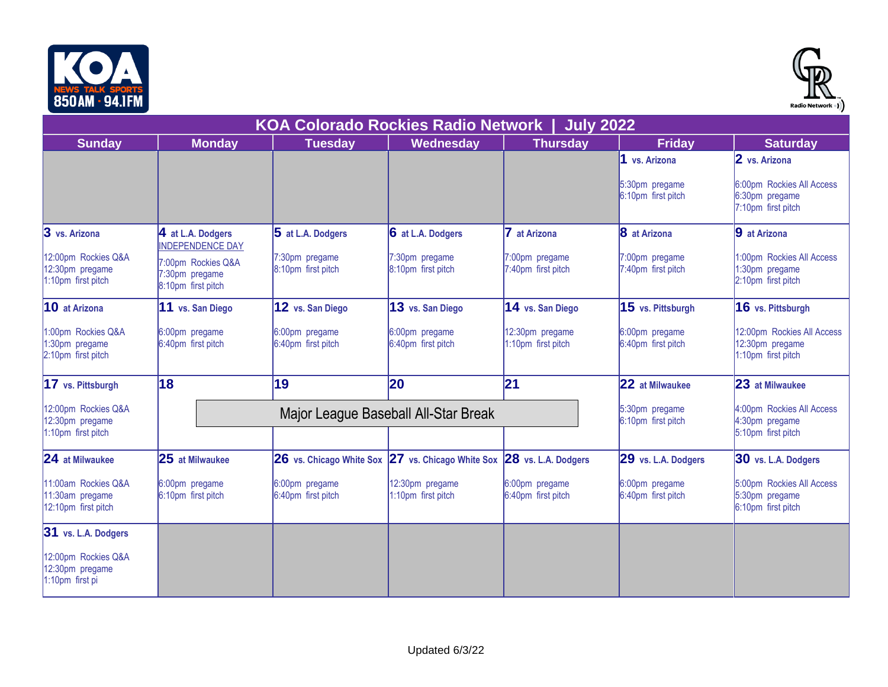



| ווו והדט וווח טטט                                             |                                                            |                                           |                                                                       |                                             |                                      | Radio Network •) )                                                  |
|---------------------------------------------------------------|------------------------------------------------------------|-------------------------------------------|-----------------------------------------------------------------------|---------------------------------------------|--------------------------------------|---------------------------------------------------------------------|
|                                                               |                                                            | <b>KOA Colorado Rockies Radio Network</b> |                                                                       | <b>July 2022</b>                            |                                      |                                                                     |
| <b>Sunday</b>                                                 | <b>Monday</b>                                              | <b>Tuesday</b>                            | Wednesday                                                             | <b>Thursday</b>                             | <b>Friday</b>                        | <b>Saturday</b>                                                     |
|                                                               |                                                            |                                           |                                                                       |                                             | 1 vs. Arizona                        | 2 vs. Arizona                                                       |
|                                                               |                                                            |                                           |                                                                       |                                             | 5:30pm pregame<br>6:10pm first pitch | 6:00pm Rockies All Access<br>6:30pm pregame<br>7:10pm first pitch   |
| 3 vs. Arizona                                                 | 4 at L.A. Dodgers<br><b>INDEPENDENCE DAY</b>               | 5 at L.A. Dodgers                         | 6 at L.A. Dodgers                                                     | 7 at Arizona                                | 8 at Arizona                         | 9 at Arizona                                                        |
| 12:00pm Rockies Q&A<br>12:30pm pregame<br>1:10pm first pitch  | 7:00pm Rockies Q&A<br>7:30pm pregame<br>8:10pm first pitch | 7:30pm pregame<br>8:10pm first pitch      | 7:30pm pregame<br>8:10pm first pitch                                  | 7:00pm pregame<br>7:40pm first pitch        | 7:00pm pregame<br>7:40pm first pitch | 1:00pm Rockies All Access<br>1:30pm pregame<br>2:10pm first pitch   |
| 10 at Arizona                                                 | 11 vs. San Diego                                           | 12 vs. San Diego                          | 13 vs. San Diego                                                      | 14 vs. San Diego                            | 15 vs. Pittsburgh                    | 16 vs. Pittsburgh                                                   |
| 1:00pm Rockies Q&A<br>1:30pm pregame<br>2:10pm first pitch    | 6:00pm pregame<br>6:40pm first pitch                       | 6:00pm pregame<br>6:40pm first pitch      | 6:00pm pregame<br>6:40pm first pitch                                  | 12:30pm pregame<br>1:10pm first pitch       | 6:00pm pregame<br>6:40pm first pitch | 12:00pm Rockies All Access<br>12:30pm pregame<br>1:10pm first pitch |
| 17 vs. Pittsburgh                                             | 18                                                         | 19                                        | 20                                                                    | 21                                          | 22 at Milwaukee                      | 23 at Milwaukee                                                     |
| 12:00pm Rockies Q&A<br>12:30pm pregame                        |                                                            | Major League Baseball All-Star Break      | 5:30pm pregame<br>6:10pm first pitch                                  | 4:00pm Rockies All Access<br>4:30pm pregame |                                      |                                                                     |
| 1:10pm first pitch                                            |                                                            |                                           |                                                                       |                                             |                                      | 5:10pm first pitch                                                  |
| 24 at Milwaukee                                               | 25 at Milwaukee                                            |                                           | 26 vs. Chicago White Sox 27 vs. Chicago White Sox 28 vs. L.A. Dodgers |                                             | 29 vs. L.A. Dodgers                  | 30 vs. L.A. Dodgers                                                 |
| 11:00am Rockies Q&A<br>11:30am pregame<br>12:10pm first pitch | 6:00pm pregame<br>6:10pm first pitch                       | 6:00pm pregame<br>6:40pm first pitch      | 12:30pm pregame<br>1:10pm first pitch                                 | 6:00pm pregame<br>6:40pm first pitch        | 6:00pm pregame<br>6:40pm first pitch | 5:00pm Rockies All Access<br>5:30pm pregame<br>6:10pm first pitch   |
| 31 vs. L.A. Dodgers                                           |                                                            |                                           |                                                                       |                                             |                                      |                                                                     |
| 12:00pm Rockies Q&A<br>12:30pm pregame<br>1:10pm first pi     |                                                            |                                           |                                                                       |                                             |                                      |                                                                     |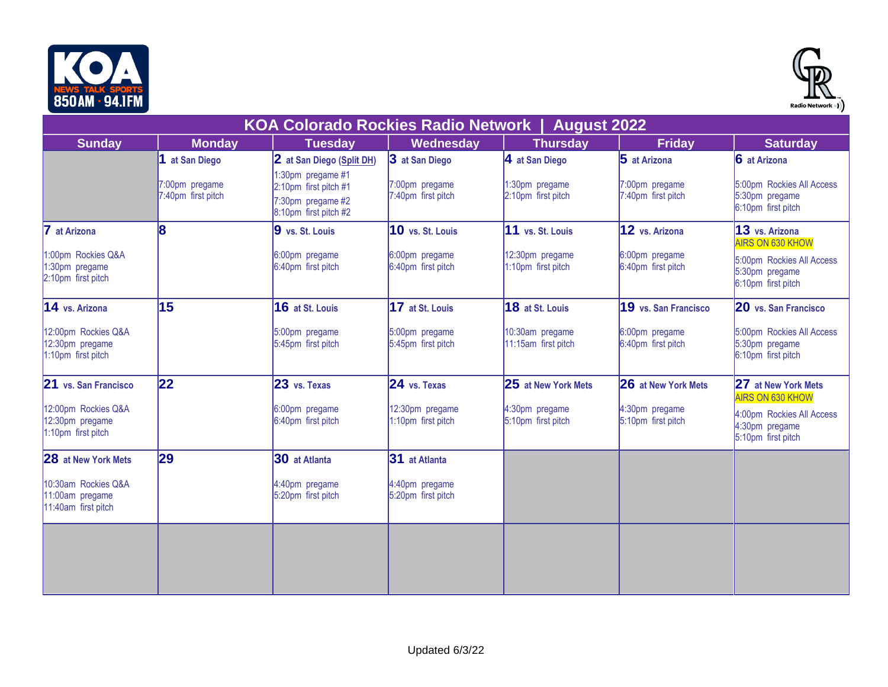



|                                                               | <b>KOA Colorado Rockies Radio Network  </b><br><b>August 2022</b> |                                                                                          |                                       |                                        |                                      |                                                                                              |  |  |
|---------------------------------------------------------------|-------------------------------------------------------------------|------------------------------------------------------------------------------------------|---------------------------------------|----------------------------------------|--------------------------------------|----------------------------------------------------------------------------------------------|--|--|
| <b>Sunday</b>                                                 | <b>Monday</b>                                                     | <b>Tuesday</b>                                                                           | Wednesday                             | <b>Thursday</b>                        | <b>Friday</b>                        | <b>Saturday</b>                                                                              |  |  |
|                                                               | 1 at San Diego                                                    | 2 at San Diego (Split DH)                                                                | 3 at San Diego                        | 4 at San Diego                         | 5 at Arizona                         | 6 at Arizona                                                                                 |  |  |
|                                                               | 7:00pm pregame<br>7:40pm first pitch                              | 1:30pm pregame #1<br>2:10pm first pitch #1<br>7:30pm pregame #2<br>8:10pm first pitch #2 | 7:00pm pregame<br>7:40pm first pitch  | 1:30pm pregame<br>2:10pm first pitch   | 7:00pm pregame<br>7:40pm first pitch | 5:00pm Rockies All Access<br>5:30pm pregame<br>6:10pm first pitch                            |  |  |
| 7 at Arizona                                                  | 8                                                                 | 9 vs. St. Louis                                                                          | 10 vs. St. Louis                      | 11 vs. St. Louis                       | 12 vs. Arizona                       | 13 vs. Arizona                                                                               |  |  |
| 1:00pm Rockies Q&A<br>1:30pm pregame<br>2:10pm first pitch    |                                                                   | 6:00pm pregame<br>6:40pm first pitch                                                     | 6:00pm pregame<br>6:40pm first pitch  | 12:30pm pregame<br>1:10pm first pitch  | 6:00pm pregame<br>6:40pm first pitch | <b>AIRS ON 630 KHOW</b><br>5:00pm Rockies All Access<br>5:30pm pregame<br>6:10pm first pitch |  |  |
| 14 vs. Arizona                                                | 15                                                                | 16 at St. Louis                                                                          | 17 at St. Louis                       | 18 at St. Louis                        | 19 vs. San Francisco                 | 20 vs. San Francisco                                                                         |  |  |
| 12:00pm Rockies Q&A<br>12:30pm pregame<br>1:10pm first pitch  |                                                                   | 5:00pm pregame<br>5:45pm first pitch                                                     | 5:00pm pregame<br>5:45pm first pitch  | 10:30am pregame<br>11:15am first pitch | 6:00pm pregame<br>6:40pm first pitch | 5:00pm Rockies All Access<br>5:30pm pregame<br>6:10pm first pitch                            |  |  |
| 21 vs. San Francisco                                          | 22                                                                | 23 vs. Texas                                                                             | 24 vs. Texas                          | <b>25 at New York Mets</b>             | 26 at New York Mets                  | 27 at New York Mets<br><b>AIRS ON 630 KHOW</b>                                               |  |  |
| 12:00pm Rockies Q&A<br>12:30pm pregame<br>1:10pm first pitch  |                                                                   | 6:00pm pregame<br>6:40pm first pitch                                                     | 12:30pm pregame<br>1:10pm first pitch | 4:30pm pregame<br>5:10pm first pitch   | 4:30pm pregame<br>5:10pm first pitch | 4:00pm Rockies All Access<br>4:30pm pregame<br>5:10pm first pitch                            |  |  |
| 28 at New York Mets                                           | 29                                                                | 30 at Atlanta                                                                            | 31 at Atlanta                         |                                        |                                      |                                                                                              |  |  |
| 10:30am Rockies Q&A<br>11:00am pregame<br>11:40am first pitch |                                                                   | 4:40pm pregame<br>5:20pm first pitch                                                     | 4:40pm pregame<br>5:20pm first pitch  |                                        |                                      |                                                                                              |  |  |
|                                                               |                                                                   |                                                                                          |                                       |                                        |                                      |                                                                                              |  |  |
|                                                               |                                                                   |                                                                                          |                                       |                                        |                                      |                                                                                              |  |  |
|                                                               |                                                                   |                                                                                          |                                       |                                        |                                      |                                                                                              |  |  |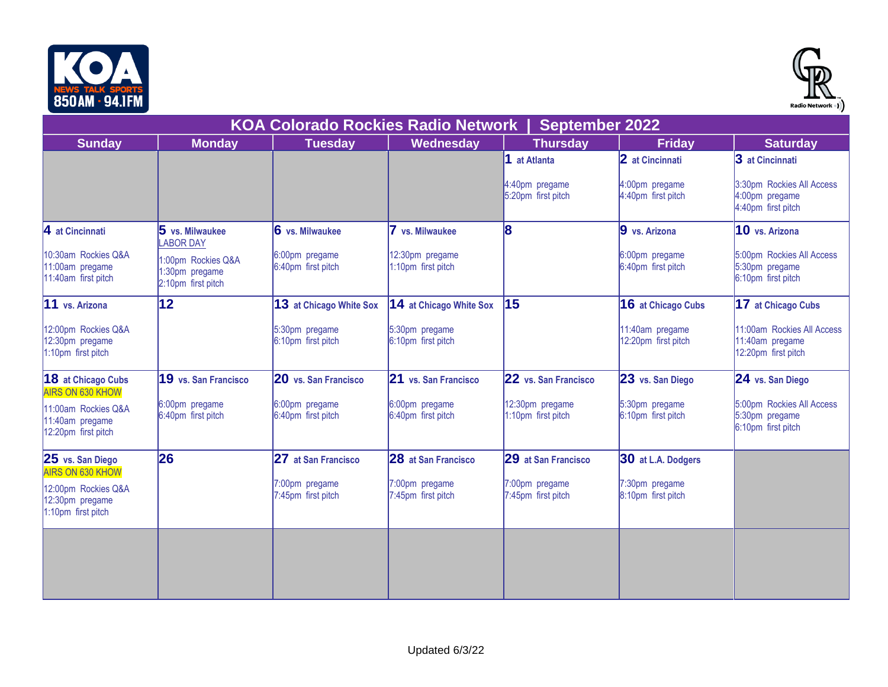



| ווו והדט וווח טטט                                                                       |                                                            |                                           |                                       |                                       |                                        | Radio Network •) )                                                   |
|-----------------------------------------------------------------------------------------|------------------------------------------------------------|-------------------------------------------|---------------------------------------|---------------------------------------|----------------------------------------|----------------------------------------------------------------------|
|                                                                                         |                                                            | <b>KOA Colorado Rockies Radio Network</b> |                                       | <b>September 2022</b>                 |                                        |                                                                      |
| <b>Sunday</b>                                                                           | <b>Monday</b>                                              | <b>Tuesday</b>                            | Wednesday                             | <b>Thursday</b>                       | <b>Friday</b>                          | <b>Saturday</b>                                                      |
|                                                                                         |                                                            |                                           |                                       | 1 at Atlanta                          | 2 at Cincinnati                        | 3 at Cincinnati                                                      |
|                                                                                         |                                                            |                                           |                                       | 4:40pm pregame<br>5:20pm first pitch  | 4:00pm pregame<br>4:40pm first pitch   | 3:30pm Rockies All Access<br>4:00pm pregame<br>4:40pm first pitch    |
| $\vert$ 4 at Cincinnati                                                                 | 5 vs. Milwaukee<br><b>ABOR DAY</b>                         | 6 vs. Milwaukee                           | 7 vs. Milwaukee                       | 18                                    | 9 vs. Arizona                          | 10 vs. Arizona                                                       |
| 10:30am Rockies Q&A<br>11:00am pregame<br>11:40am first pitch                           | 1:00pm Rockies Q&A<br>1:30pm pregame<br>2:10pm first pitch | 6:00pm pregame<br>6:40pm first pitch      | 12:30pm pregame<br>1:10pm first pitch |                                       | 6:00pm pregame<br>6:40pm first pitch   | 5:00pm Rockies All Access<br>5:30pm pregame<br>6:10pm first pitch    |
| 11 vs. Arizona                                                                          | 12                                                         | 13 at Chicago White Sox                   | 14 at Chicago White Sox               | 15                                    | <b>16 at Chicago Cubs</b>              | 17 at Chicago Cubs                                                   |
| 12:00pm Rockies Q&A<br>12:30pm pregame<br>1:10pm first pitch                            |                                                            | 5:30pm pregame<br>6:10pm first pitch      | 5:30pm pregame<br>6:10pm first pitch  |                                       | 11:40am pregame<br>12:20pm first pitch | 11:00am Rockies All Access<br>11:40am pregame<br>12:20pm first pitch |
| <b>18</b> at Chicago Cubs<br><b>AIRS ON 630 KHOW</b>                                    | 19 vs. San Francisco                                       | 20 vs. San Francisco                      | 21 vs. San Francisco                  | 22 vs. San Francisco                  | 23 vs. San Diego                       | 24 vs. San Diego                                                     |
| 11:00am Rockies Q&A<br>11:40am pregame<br>12:20pm first pitch                           | 6:00pm pregame<br>6:40pm first pitch                       | 6:00pm pregame<br>6:40pm first pitch      | 6:00pm pregame<br>6:40pm first pitch  | 12:30pm pregame<br>1:10pm first pitch | 5:30pm pregame<br>6:10pm first pitch   | 5:00pm Rockies All Access<br>5:30pm pregame<br>6:10pm first pitch    |
| 25 vs. San Diego                                                                        | 26                                                         | 27 at San Francisco                       | 28 at San Francisco                   | 29 at San Francisco                   | 30 at L.A. Dodgers                     |                                                                      |
| <b>AIRS ON 630 KHOW</b><br>12:00pm Rockies Q&A<br>12:30pm pregame<br>1:10pm first pitch |                                                            | 7:00pm pregame<br>7:45pm first pitch      | 7:00pm pregame<br>7:45pm first pitch  | 7:00pm pregame<br>7:45pm first pitch  | 7:30pm pregame<br>8:10pm first pitch   |                                                                      |
|                                                                                         |                                                            |                                           |                                       |                                       |                                        |                                                                      |
|                                                                                         |                                                            |                                           |                                       |                                       |                                        |                                                                      |
|                                                                                         |                                                            |                                           |                                       |                                       |                                        |                                                                      |